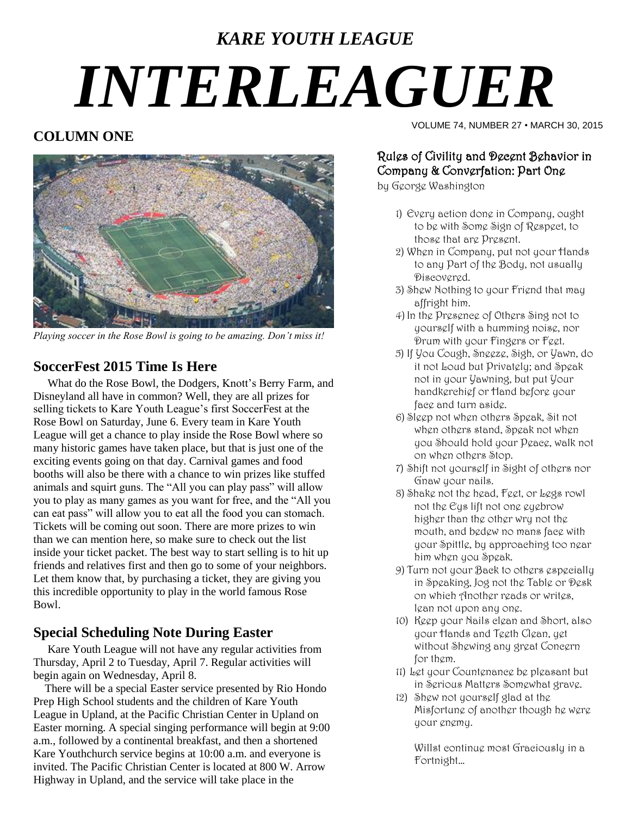# *KARE YOUTH LEAGUE INTERLEAGUER*

### **COLUMN ONE**



*Playing soccer in the Rose Bowl is going to be amazing. Don't miss it!*

### **SoccerFest 2015 Time Is Here**

 What do the Rose Bowl, the Dodgers, Knott's Berry Farm, and Disneyland all have in common? Well, they are all prizes for selling tickets to Kare Youth League's first SoccerFest at the Rose Bowl on Saturday, June 6. Every team in Kare Youth League will get a chance to play inside the Rose Bowl where so many historic games have taken place, but that is just one of the exciting events going on that day. Carnival games and food booths will also be there with a chance to win prizes like stuffed animals and squirt guns. The "All you can play pass" will allow you to play as many games as you want for free, and the "All you can eat pass" will allow you to eat all the food you can stomach. Tickets will be coming out soon. There are more prizes to win than we can mention here, so make sure to check out the list inside your ticket packet. The best way to start selling is to hit up friends and relatives first and then go to some of your neighbors. Let them know that, by purchasing a ticket, they are giving you this incredible opportunity to play in the world famous Rose Bowl.

### **Special Scheduling Note During Easter**

 Kare Youth League will not have any regular activities from Thursday, April 2 to Tuesday, April 7. Regular activities will begin again on Wednesday, April 8.

 There will be a special Easter service presented by Rio Hondo Prep High School students and the children of Kare Youth League in Upland, at the Pacific Christian Center in Upland on Easter morning. A special singing performance will begin at 9:00 a.m., followed by a continental breakfast, and then a shortened Kare Youthchurch service begins at 10:00 a.m. and everyone is invited. The Pacific Christian Center is located at 800 W. Arrow Highway in Upland, and the service will take place in the

VOLUME 74, NUMBER 27 • MARCH 30, 2015

#### Rules of Civility and Decent Behavior in Company & Converfation: Part One

by George Washington

- 1) Every action done in Company, ought to be with Some Sign of Respect, to those that are Present.
- 2) When in Company, put not your Hands to any Part of the Body, not usually Discovered.
- 3) Shew Nothing to your Friend that may affright him.
- 4) In the Presence of Others Sing not to yourself with a humming noise, nor Drum with your Fingers or Feet.
- 5) If You Cough, Sneeze, Sigh, or Yawn, do it not Loud but Privately; and Speak not in your Yawning, but put Your handkerchief or Hand before your face and turn aside.
- 6) Sleep not when others Speak, Sit not when others stand, Speak not when you Should hold your Peace, walk not on when others Stop.
- 7) Shift not yourself in Sight of others nor Gnaw your nails.
- 8) Shake not the head, Feet, or Legs rowl not the Eys lift not one eyebrow higher than the other wry not the mouth, and bedew no mans face with your Spittle, by approaching too near him when you Speak.
- 9) Turn not your Back to others especially in Speaking, Jog not the Table or Desk on which Another reads or writes, lean not upon any one.
- 10) Keep your Nails clean and Short, also your Hands and Teeth Clean, yet without Shewing any great Concern for them.
- 11) Let your Countenance be pleasant but in Serious Matters Somewhat grave.
- 12) Shew not yourself glad at the Misfortune of another though he were your enemy.

Willst continue most Graciously in a Fortnight…